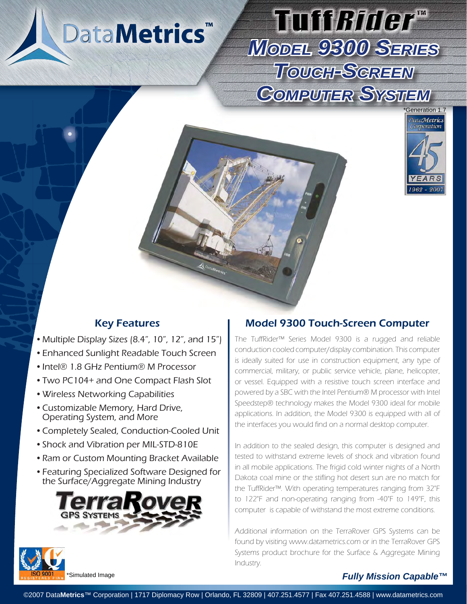# DataMetrics<sup>™</sup>

## Tuff*Rider*" *MODEL 9300 SERIES TOUCH-SCREEN*  COMPUTER SYSTEM



- Multiple Display Sizes (8.4", 10", 12", and 15")
- Enhanced Sunlight Readable Touch Screen •
- Intel® 1.8 GHz Pentium® M Processor
- Two PC104+ and One Compact Flash Slot •
- Wireless Networking Capabilities •
- Customizable Memory, Hard Drive, Operating System, and More
- Completely Sealed, Conduction-Cooled Unit •
- Shock and Vibration per MIL-STD-810E
- Ram or Custom Mounting Bracket Available
- Featuring Specialized Software Designed for the Surface/Aggregate Mining Industry



### Key Features **Model 9300 Touch-Screen Computer**

The TuffRider™ Series Model 9300 is a rugged and reliable conduction cooled computer/display combination. This computer is ideally suited for use in construction equipment, any type of commercial, military, or public service vehicle, plane, helicopter, or vessel. Equipped with a resistive touch screen interface and powered by a SBC with the Intel Pentium® M processor with Intel Speedstep® technology makes the Model 9300 ideal for mobile applications. In addition, the Model 9300 is equipped with all of the interfaces you would find on a normal desktop computer.

In addition to the sealed design, this computer is designed and tested to withstand extreme levels of shock and vibration found in all mobile applications. The frigid cold winter nights of a North Dakota coal mine or the stifling hot desert sun are no match for the TuffRider™. With operating temperatures ranging from 32°F to 122°F and non-operating ranging from -40°F to 149°F, this computer is capable of withstand the most extreme conditions.

Additional information on the TerraRover GPS Systems can be found by visiting www.datametrics.com or in the TerraRover GPS Systems product brochure for the Surface & Aggregate Mining Industry.



©2007 Data**Metrics**™ Corporation | 1717 Diplomacy Row | Orlando, FL 32809 | 407.251.4577 | Fax 407.251.4588 | www.datametrics.com